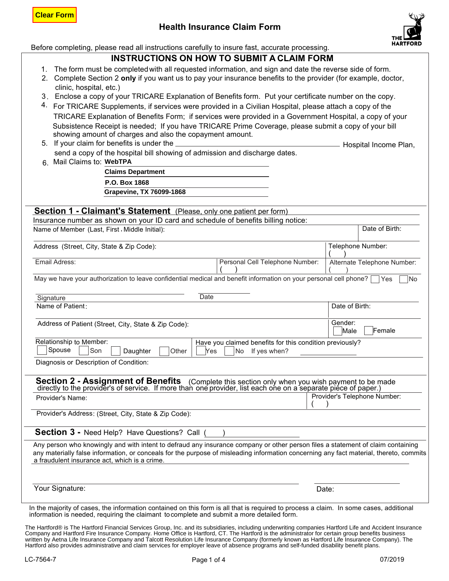# **Health Insurance Claim Form**



Date of Birth:

Alternate Telephone Number:

( )

Before completing, please read all instructions carefully to insure fast, accurate processing.

# **INSTRUCTIONS ON HOW TO SUBMIT A CLAIM FORM**

- 1. The form must be completed with all requested information, and sign and date the reverse side of form.
- 2. Complete Section 2 **only** if you want us to pay your insurance benefits to the provider (for example, doctor, clinic, hospital, etc.)
- 3. Enclose a copy of your TRICARE Explanation of Benefits form. Put your certificate number on the copy.
- 4. For TRICARE Supplements, if services were provided in a Civilian Hospital, please attach a copy of the TRICARE Explanation of Benefits Form; if services were provided in a Government Hospital, a copy of your Subsistence Receipt is needed; If you have TRICARE Prime Coverage, please submit a copy of your bill showing amount of charges and also the copayment amount. **Clear Form**<br> **Grapheric Completing, please read all instructions of INSTRUCTIONS O**<br>
1. The form must be completed with all req<br>
2. Complete Section 2 only if you want us<br>
clinic, hospital, etc.)<br>
3. Enclose a copy of you
	- 5. If your claim for benefits is under the Hospital Income Plan, send a copy of the hospital bill showing of admission and discharge dates.
	- : 6. Mail Claims to

**Claims Department P.O. Box 1868**

### Insurance number as shown on your ID card and schedule of benefits billing notice: **Section 1 - Claimant's Statement** (Please, only one patient per form)

Name of Member (Last, First , Middle Initial):

Address (Street, City, State & Zip Code): Telephone Number: Telephone Number:

Email Adress:

May we have your authorization to leave confidential medical and benefit information on your personal cell phone?  $\Box$  Yes  $\Box$  No ( )  $\begin{pmatrix} 1 & 1 \\ 1 & 1 \end{pmatrix}$ 

Personal Cell Telephone Number:

| Signature                                                                                                                                                                                                             | Date                                                     |                              |
|-----------------------------------------------------------------------------------------------------------------------------------------------------------------------------------------------------------------------|----------------------------------------------------------|------------------------------|
| Name of Patient:                                                                                                                                                                                                      |                                                          | Date of Birth:               |
| Address of Patient (Street, City, State & Zip Code):                                                                                                                                                                  |                                                          | Gender:<br>Female<br>Male    |
| Relationship to Member:                                                                                                                                                                                               | Have you claimed benefits for this condition previously? |                              |
| Spouse<br>Son<br>Daughter<br>Other                                                                                                                                                                                    | <b>No</b><br>If yes when?<br>Yes                         |                              |
| Diagnosis or Description of Condition:                                                                                                                                                                                |                                                          |                              |
| <b>Section 2 - Assignment of Benefits</b> (Complete this section only when you wish payment to be made directly to the provider's of service. If more than one provider, list each one on a separate piece of paper.) |                                                          |                              |
| Provider's Name:                                                                                                                                                                                                      |                                                          | Provider's Telephone Number: |
| Provider's Address: (Street, City, State & Zip Code):                                                                                                                                                                 |                                                          |                              |
|                                                                                                                                                                                                                       |                                                          |                              |

**Section 3 -** Need Help? Have Questions? Call ( )

Any person who knowingly and with intent to defraud any insurance company or other person files a statement of claim containing any materially false information, or conceals for the purpose of misleading information concerning any fact material, thereto, commits a fraudulent insurance act, which is a crime.

Your Signature: Date: Note: Note: Note: Note: Note: Note: Date: Date: Date: Date: Date: Note: Note: Note: Note: Note: Note: Note: Note: Note: Note: Note: Note: Note: Note: Note: Note: Note: Note: Note: Note: Note: Note: No

In the majority of cases, the information contained on this form is all that is required to process a claim. In some cases, additional information is needed, requiring the claimant to complete and submit a more detailed form.

The Hartford® is The Hartford Financial Services Group, Inc. and its subsidiaries, including underwriting companies Hartford Life and Accident Insurance Company and Hartford Fire Insurance Company. Home Office is Hartford, CT. The Hartford is the administrator for certain group benefits business written by Aetna Life Insurance Company and Talcott Resolution Life Insurance Company (formerly known as Hartford Life Insurance Company). The Hartford also provides administrative and claim services for employer leave of absence programs and self-funded disability benefit plans.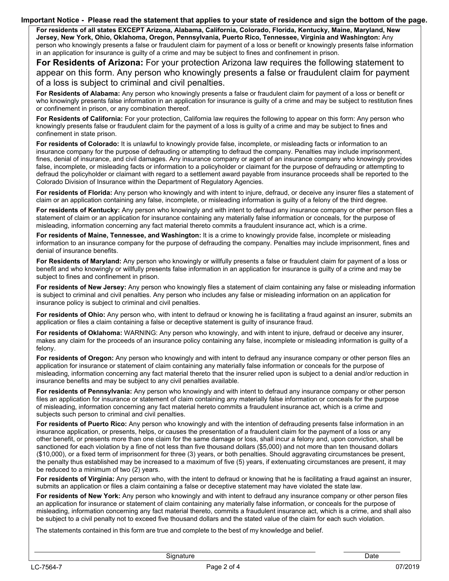#### **Important Notice - Please read the statement that applies to your state of residence and sign the bottom of the page.**

 **Jersey, New York, Ohio, Oklahoma, Oregon, Pennsylvania, Puerto Rico, Tennessee, Virginia and Washington:** Any person who knowingly presents a false or fraudulent claim for payment of a loss or benefit or knowingly presents false information in an application for insurance is guilty of a crime and may be subject to fines and confinement in prison. **For residents of all states EXCEPT Arizona, Alabama, California, Colorado, Florida, Kentucky, Maine, Maryland, New** 

 **For Residents of Arizona:** For your protection Arizona law requires the following statement to appear on this form. Any person who knowingly presents a false or fraudulent claim for payment of a loss is subject to criminal and civil penalties.

who knowingly presents false information in an application for insurance is guilty of a crime and may be subject to restitution fines **For Residents of Alabama:** Any person who knowingly presents a false or fraudulent claim for payment of a loss or benefit or or confinement in prison, or any combination thereof.

**For Residents of California:** For your protection, California law requires the following to appear on this form: Any person who knowingly presents false or fraudulent claim for the payment of a loss is guilty of a crime and may be subject to fines and confinement in state prison.

 defraud the policyholder or claimant with regard to a settlement award payable from insurance proceeds shall be reported to the Colorado Division of Insurance within the Department of Regulatory Agencies. **For residents of Colorado:** It is unlawful to knowingly provide false, incomplete, or misleading facts or information to an insurance company for the purpose of defrauding or attempting to defraud the company. Penalties may include imprisonment, fines, denial of insurance, and civil damages. Any insurance company or agent of an insurance company who knowingly provides false, incomplete, or misleading facts or information to a policyholder or claimant for the purpose of defrauding or attempting to

.<br>. **For residents of Florida:** Any person who knowingly and with intent to injure, defraud, or deceive any insurer files a statement of claim or an application containing any false, incomplete, or misleading information is guilty of a felony of the third degree.

 **For residents of Kentucky:** Any person who knowingly and with intent to defraud any insurance company or other person files a statement of claim or an application for insurance containing any materially false information or conceals, for the purpose of misleading, information concerning any fact material thereto commits a fraudulent insurance act, which is a crime.

**For residents of Maine, Tennessee, and Washington:** It is a crime to knowingly provide false, incomplete or misleading information to an insurance company for the purpose of defrauding the company. Penalties may include imprisonment, fines and denial of insurance benefits.

 benefit and who knowingly or willfully presents false information in an application for insurance is guilty of a crime and may be **For Residents of Maryland:** Any person who knowingly or willfully presents a false or fraudulent claim for payment of a loss or subject to fines and confinement in prison.

 **For residents of New Jersey:** Any person who knowingly files a statement of claim containing any false or misleading information is subject to criminal and civil penalties. Any person who includes any false or misleading information on an application for insurance policy is subject to criminal and civil penalties.

 **For residents of Ohio:** Any person who, with intent to defraud or knowing he is facilitating a fraud against an insurer, submits an application or files a claim containing a false or deceptive statement is guilty of insurance fraud.

**For residents of Oklahoma:** WARNING: Any person who knowingly, and with intent to injure, defraud or deceive any insurer, makes any claim for the proceeds of an insurance policy containing any false, incomplete or misleading information is guilty of a felony.

 misleading, information concerning any fact material thereto that the insurer relied upon is subject to a denial and/or reduction in insurance benefits and may be subject to any civil penalties available. **For residents of Oregon:** Any person who knowingly and with intent to defraud any insurance company or other person files an application for insurance or statement of claim containing any materially false information or conceals for the purpose of

nies an application for insurance or statement or claim containing any materially raise information or conceats for the pur<br>of misleading, information concerning any fact material hereto commits a fraudulent insurance act, **For residents of Pennsylvania:** Any person who knowingly and with intent to defraud any insurance company or other person files an application for insurance or statement of claim containing any materially false information or conceals for the purpose subjects such person to criminal and civil penalties.

 insurance application, or presents, helps, or causes the presentation of a fraudulent claim for the payment of a loss or any (\$10,000), or a fixed term of imprisonment for three (3) years, or both penalties. Should aggravating circumstances be present, be reduced to a minimum of two (2) years. **For residents of Puerto Rico:** Any person who knowingly and with the intention of defrauding presents false information in an other benefit, or presents more than one claim for the same damage or loss, shall incur a felony and, upon conviction, shall be sanctioned for each violation by a fine of not less than five thousand dollars (\$5,000) and not more than ten thousand dollars the penalty thus established may be increased to a maximum of five (5) years, if extenuating circumstances are present, it may

**For residents of Virginia:** Any person who, with the intent to defraud or knowing that he is facilitating a fraud against an insurer, submits an application or files a claim containing a false or deceptive statement may have violated the state law.

 be subject to a civil penalty not to exceed five thousand dollars and the stated value of the claim for each such violation. **For residents of New York:** Any person who knowingly and with intent to defraud any insurance company or other person files an application for insurance or statement of claim containing any materially false information, or conceals for the purpose of misleading, information concerning any fact material thereto, commits a fraudulent insurance act, which is a crime, and shall also

The statements contained in this form are true and complete to the best of my knowledge and belief.

Signature Date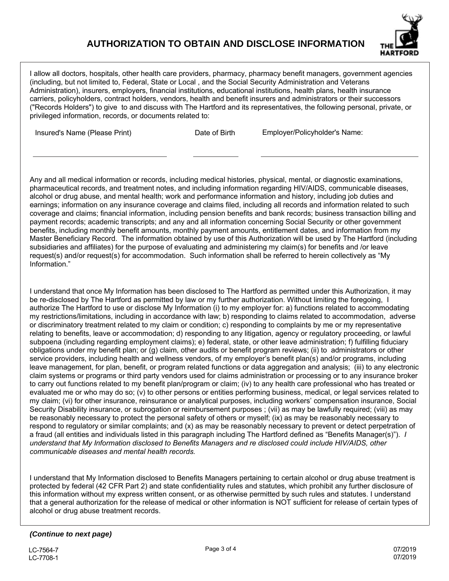# **AUTHORIZATION TO OBTAIN AND DISCLOSE INFORMATION**



I allow all doctors, hospitals, other health care providers, pharmacy, pharmacy benefit managers, government agencies (including, but not limited to, Federal, State or Local , and the Social Security Administration and Veterans Administration), insurers, employers, financial institutions, educational institutions, health plans, health insurance carriers, policyholders, contract holders, vendors, health and benefit insurers and administrators or their successors ("Records Holders") to give to and discuss with The Hartford and its representatives, the following personal, private, or privileged information, records, or documents related to:

Insured's Name (Please Print) Date of Birth Employer/Policyholder's Name:

Any and all medical information or records, including medical histories, physical, mental, or diagnostic examinations, pharmaceutical records, and treatment notes, and including information regarding HIV/AIDS, communicable diseases, alcohol or drug abuse, and mental health; work and performance information and history, including job duties and earnings; information on any insurance coverage and claims filed, including all records and information related to such coverage and claims; financial information, including pension benefits and bank records; business transaction billing and payment records; academic transcripts; and any and all information concerning Social Security or other government benefits, including monthly benefit amounts, monthly payment amounts, entitlement dates, and information from my Master Beneficiary Record. The information obtained by use of this Authorization will be used by The Hartford (including subsidiaries and affiliates) for the purpose of evaluating and administering my claim(s) for benefits and /or leave request(s) and/or request(s) for accommodation. Such information shall be referred to herein collectively as "My Information."

I understand that once My Information has been disclosed to The Hartford as permitted under this Authorization, it may be re-disclosed by The Hartford as permitted by law or my further authorization. Without limiting the foregoing, I authorize The Hartford to use or disclose My Information (i) to my employer for: a) functions related to accommodating my restrictions/limitations, including in accordance with law; b) responding to claims related to accommodation, adverse or discriminatory treatment related to my claim or condition; c) responding to complaints by me or my representative relating to benefits, leave or accommodation; d) responding to any litigation, agency or regulatory proceeding, or lawful subpoena (including regarding employment claims); e) federal, state, or other leave administration; f) fulfilling fiduciary obligations under my benefit plan; or (g) claim, other audits or benefit program reviews; (ii) to administrators or other service providers, including health and wellness vendors, of my employer's benefit plan(s) and/or programs, including leave management, for plan, benefit, or program related functions or data aggregation and analysis; (iii) to any electronic claim systems or programs or third party vendors used for claims administration or processing or to any insurance broker to carry out functions related to my benefit plan/program or claim; (iv) to any health care professional who has treated or evaluated me or who may do so; (v) to other persons or entities performing business, medical, or legal services related to my claim; (vi) for other insurance, reinsurance or analytical purposes, including workers' compensation insurance, Social Security Disability insurance, or subrogation or reimbursement purposes ; (vii) as may be lawfully required; (viii) as may be reasonably necessary to protect the personal safety of others or myself; (ix) as may be reasonably necessary to respond to regulatory or similar complaints; and (x) as may be reasonably necessary to prevent or detect perpetration of a fraud (all entities and individuals listed in this paragraph including The Hartford defined as "Benefits Manager(s)"). *I understand that My Information disclosed to Benefits Managers and re disclosed could include HIV/AIDS, other communicable diseases and mental health records.* 

I understand that My Information disclosed to Benefits Managers pertaining to certain alcohol or drug abuse treatment is protected by federal (42 CFR Part 2) and state confidentiality rules and statutes, which prohibit any further disclosure of this information without my express written consent, or as otherwise permitted by such rules and statutes. I understand that a general authorization for the release of medical or other information is NOT sufficient for release of certain types of alcohol or drug abuse treatment records.

## *(Continue to next page)*